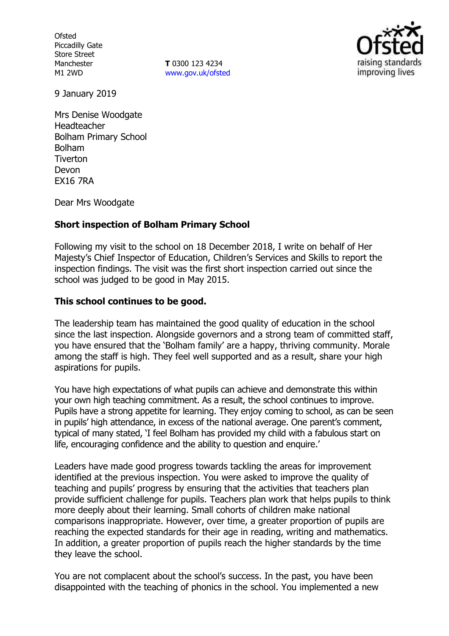**Ofsted** Piccadilly Gate Store Street Manchester M1 2WD

**T** 0300 123 4234 www.gov.uk/ofsted



9 January 2019

Mrs Denise Woodgate Headteacher Bolham Primary School Bolham **Tiverton** Devon EX16 7RA

Dear Mrs Woodgate

## **Short inspection of Bolham Primary School**

Following my visit to the school on 18 December 2018, I write on behalf of Her Majesty's Chief Inspector of Education, Children's Services and Skills to report the inspection findings. The visit was the first short inspection carried out since the school was judged to be good in May 2015.

### **This school continues to be good.**

The leadership team has maintained the good quality of education in the school since the last inspection. Alongside governors and a strong team of committed staff. you have ensured that the 'Bolham family' are a happy, thriving community. Morale among the staff is high. They feel well supported and as a result, share your high aspirations for pupils.

You have high expectations of what pupils can achieve and demonstrate this within your own high teaching commitment. As a result, the school continues to improve. Pupils have a strong appetite for learning. They enjoy coming to school, as can be seen in pupils' high attendance, in excess of the national average. One parent's comment, typical of many stated, 'I feel Bolham has provided my child with a fabulous start on life, encouraging confidence and the ability to question and enquire.'

Leaders have made good progress towards tackling the areas for improvement identified at the previous inspection. You were asked to improve the quality of teaching and pupils' progress by ensuring that the activities that teachers plan provide sufficient challenge for pupils. Teachers plan work that helps pupils to think more deeply about their learning. Small cohorts of children make national comparisons inappropriate. However, over time, a greater proportion of pupils are reaching the expected standards for their age in reading, writing and mathematics. In addition, a greater proportion of pupils reach the higher standards by the time they leave the school.

You are not complacent about the school's success. In the past, you have been disappointed with the teaching of phonics in the school. You implemented a new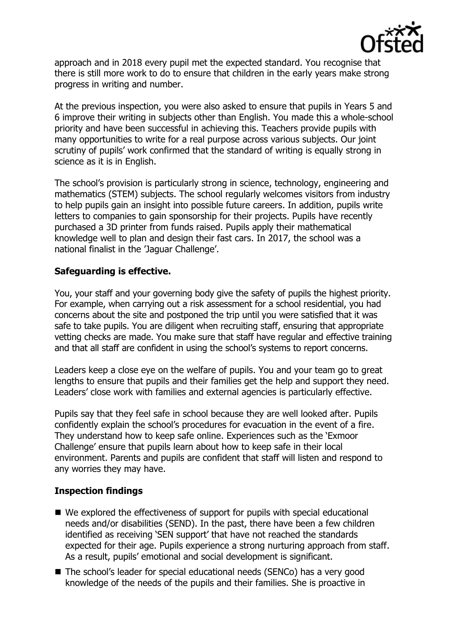

approach and in 2018 every pupil met the expected standard. You recognise that there is still more work to do to ensure that children in the early years make strong progress in writing and number.

At the previous inspection, you were also asked to ensure that pupils in Years 5 and 6 improve their writing in subjects other than English. You made this a whole-school priority and have been successful in achieving this. Teachers provide pupils with many opportunities to write for a real purpose across various subjects. Our joint scrutiny of pupils' work confirmed that the standard of writing is equally strong in science as it is in English.

The school's provision is particularly strong in science, technology, engineering and mathematics (STEM) subjects. The school regularly welcomes visitors from industry to help pupils gain an insight into possible future careers. In addition, pupils write letters to companies to gain sponsorship for their projects. Pupils have recently purchased a 3D printer from funds raised. Pupils apply their mathematical knowledge well to plan and design their fast cars. In 2017, the school was a national finalist in the 'Jaguar Challenge'.

## **Safeguarding is effective.**

You, your staff and your governing body give the safety of pupils the highest priority. For example, when carrying out a risk assessment for a school residential, you had concerns about the site and postponed the trip until you were satisfied that it was safe to take pupils. You are diligent when recruiting staff, ensuring that appropriate vetting checks are made. You make sure that staff have regular and effective training and that all staff are confident in using the school's systems to report concerns.

Leaders keep a close eye on the welfare of pupils. You and your team go to great lengths to ensure that pupils and their families get the help and support they need. Leaders' close work with families and external agencies is particularly effective.

Pupils say that they feel safe in school because they are well looked after. Pupils confidently explain the school's procedures for evacuation in the event of a fire. They understand how to keep safe online. Experiences such as the 'Exmoor Challenge' ensure that pupils learn about how to keep safe in their local environment. Parents and pupils are confident that staff will listen and respond to any worries they may have.

# **Inspection findings**

- We explored the effectiveness of support for pupils with special educational needs and/or disabilities (SEND). In the past, there have been a few children identified as receiving 'SEN support' that have not reached the standards expected for their age. Pupils experience a strong nurturing approach from staff. As a result, pupils' emotional and social development is significant.
- The school's leader for special educational needs (SENCo) has a very good knowledge of the needs of the pupils and their families. She is proactive in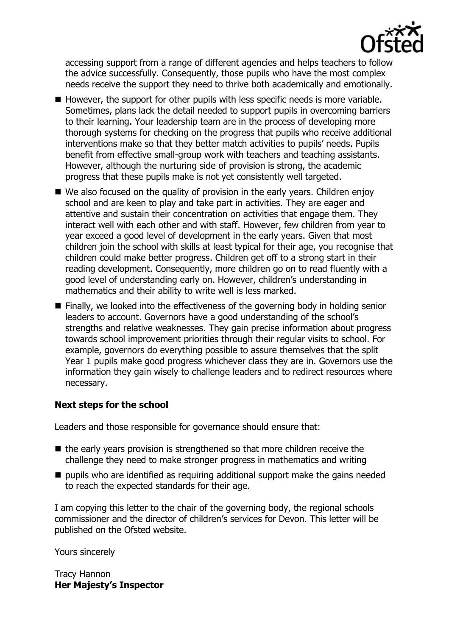

accessing support from a range of different agencies and helps teachers to follow the advice successfully. Consequently, those pupils who have the most complex needs receive the support they need to thrive both academically and emotionally.

- $\blacksquare$  However, the support for other pupils with less specific needs is more variable. Sometimes, plans lack the detail needed to support pupils in overcoming barriers to their learning. Your leadership team are in the process of developing more thorough systems for checking on the progress that pupils who receive additional interventions make so that they better match activities to pupils' needs. Pupils benefit from effective small-group work with teachers and teaching assistants. However, although the nurturing side of provision is strong, the academic progress that these pupils make is not yet consistently well targeted.
- We also focused on the quality of provision in the early years. Children enjoy school and are keen to play and take part in activities. They are eager and attentive and sustain their concentration on activities that engage them. They interact well with each other and with staff. However, few children from year to year exceed a good level of development in the early years. Given that most children join the school with skills at least typical for their age, you recognise that children could make better progress. Children get off to a strong start in their reading development. Consequently, more children go on to read fluently with a good level of understanding early on. However, children's understanding in mathematics and their ability to write well is less marked.
- Finally, we looked into the effectiveness of the governing body in holding senior leaders to account. Governors have a good understanding of the school's strengths and relative weaknesses. They gain precise information about progress towards school improvement priorities through their regular visits to school. For example, governors do everything possible to assure themselves that the split Year 1 pupils make good progress whichever class they are in. Governors use the information they gain wisely to challenge leaders and to redirect resources where necessary.

# **Next steps for the school**

Leaders and those responsible for governance should ensure that:

- $\blacksquare$  the early vears provision is strengthened so that more children receive the challenge they need to make stronger progress in mathematics and writing
- $\blacksquare$  pupils who are identified as requiring additional support make the gains needed to reach the expected standards for their age.

I am copying this letter to the chair of the governing body, the regional schools commissioner and the director of children's services for Devon. This letter will be published on the Ofsted website.

Yours sincerely

Tracy Hannon **Her Majesty's Inspector**